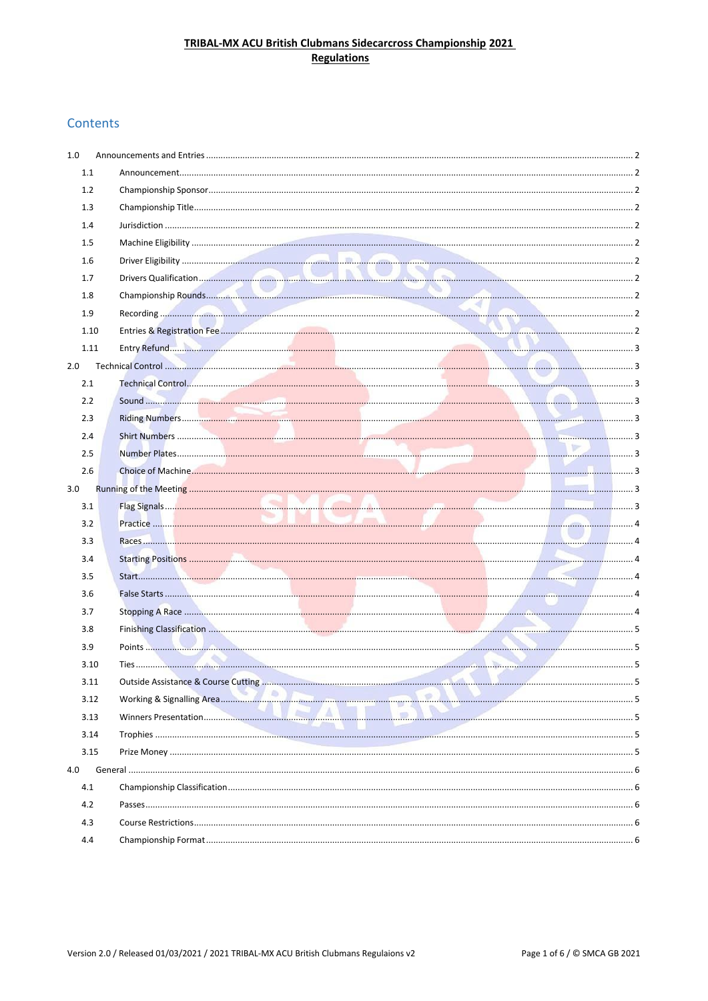# TRIBAL-MX ACU British Clubmans Sidecarcross Championship 2021 **Regulations**

# Contents

| 1.0  |  |  |
|------|--|--|
| 1.1  |  |  |
| 1.2  |  |  |
| 1.3  |  |  |
| 1.4  |  |  |
| 1.5  |  |  |
| 1.6  |  |  |
| 1.7  |  |  |
| 1.8  |  |  |
| 1.9  |  |  |
| 1.10 |  |  |
| 1.11 |  |  |
| 2.0  |  |  |
| 2.1  |  |  |
| 2.2  |  |  |
| 2.3  |  |  |
| 2.4  |  |  |
| 2.5  |  |  |
| 2.6  |  |  |
| 3.0  |  |  |
| 3.1  |  |  |
| 3.2  |  |  |
| 3.3  |  |  |
| 3.4  |  |  |
| 3.5  |  |  |
| 3.6  |  |  |
| 3.7  |  |  |
| 3.8  |  |  |
| 3.9  |  |  |
| 3.10 |  |  |
| 3.11 |  |  |
|      |  |  |
| 3.12 |  |  |
| 3.13 |  |  |
| 3.14 |  |  |
| 3.15 |  |  |
| 4.0  |  |  |
| 4.1  |  |  |
| 4.2  |  |  |
| 4.3  |  |  |
| 4.4  |  |  |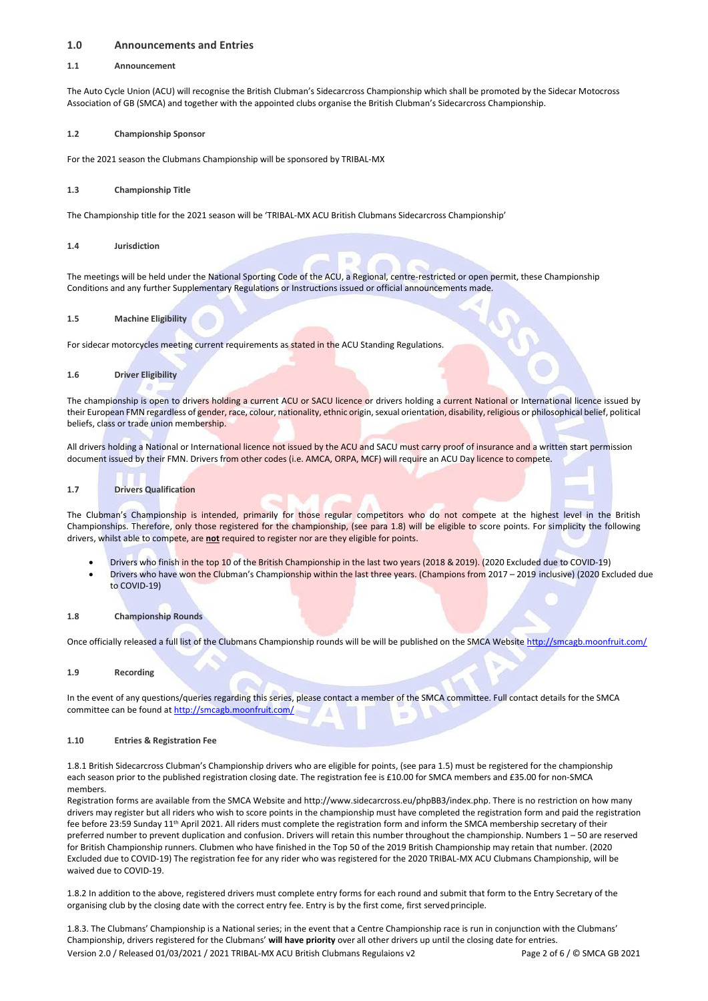## <span id="page-1-0"></span>**1.0 Announcements and Entries**

## <span id="page-1-1"></span>**1.1 Announcement**

The Auto Cycle Union (ACU) will recognise the British Clubman's Sidecarcross Championship which shall be promoted by the Sidecar Motocross Association of GB (SMCA) and together with the appointed clubs organise the British Clubman's Sidecarcross Championship.

## <span id="page-1-2"></span>**1.2 Championship Sponsor**

For the 2021 season the Clubmans Championship will be sponsored by TRIBAL-MX

## <span id="page-1-3"></span>**1.3 Championship Title**

The Championship title for the 2021 season will be 'TRIBAL-MX ACU British Clubmans Sidecarcross Championship'

<span id="page-1-4"></span>**1.4 Jurisdiction**

The meetings will be held under the National Sporting Code of the ACU, a Regional, centre-restricted or open permit, these Championship Conditions and any further Supplementary Regulations or Instructions issued or official announcements made.

## <span id="page-1-5"></span>**1.5 Machine Eligibility**

For sidecar motorcycles meeting current requirements as stated in the ACU Standing Regulations.

## <span id="page-1-6"></span>**1.6 Driver Eligibility**

The championship is open to drivers holding a current ACU or SACU licence or drivers holding a current National or International licence issued by their European FMN regardless of gender, race, colour, nationality, ethnic origin, sexual orientation, disability, religious or philosophical belief, political beliefs, class or trade union membership.

All drivers holding a National or International licence not issued by the ACU and SACU must carry proof of insurance and a written start permission document issued by their FMN. Drivers from other codes (i.e. AMCA, ORPA, MCF) will require an ACU Day licence to compete.

## <span id="page-1-7"></span>**1.7 Drivers Qualification**

The Clubman's Championship is intended, primarily for those regular competitors who do not compete at the highest level in the British Championships. Therefore, only those registered for the championship, (see para 1.8) will be eligible to score points. For simplicity the following drivers, whilst able to compete, are **not** required to register nor are they eligible for points.

- Drivers who finish in the top 10 of the British Championship in the last two years (2018 & 2019). (2020 Excluded due to COVID-19)
- Drivers who have won the Clubman's Championship within the last three years. (Champions from 2017 2019 inclusive) (2020 Excluded due to COVID-19)
- <span id="page-1-8"></span>**1.8 Championship Rounds**

Once officially released a full list of the Clubmans Championship rounds will be will be published on the SMCA Websit[e http://smcagb.moonfruit.com/](http://smcagb.moonfruit.com/)

<span id="page-1-9"></span>**1.9 Recording**

In the event of any questions/queries regarding this series, please contact a member of the SMCA committee. Full contact details for the SMCA committee can be found a[t http://smcagb.moonfruit.com/](http://smcagb.moonfruit.com/)

#### <span id="page-1-10"></span>**1.10 Entries & Registration Fee**

1.8.1 British Sidecarcross Clubman's Championship drivers who are eligible for points, (see para 1.5) must be registered for the championship each season prior to the published registration closing date. The registration fee is £10.00 for SMCA members and £35.00 for non-SMCA members.

Registration forms are available from the SMCA Website and [http://www.sidecarcross.eu/phpBB3/index.php.](http://www.sidecarcross.eu/phpBB3/index.php) There is no restriction on how many drivers may register but all riders who wish to score points in the championship must have completed the registration form and paid the registration fee before 23:59 Sunday 11<sup>th</sup> April 2021. All riders must complete the registration form and inform the SMCA membership secretary of their preferred number to prevent duplication and confusion. Drivers will retain this number throughout the championship. Numbers 1 – 50 are reserved for British Championship runners. Clubmen who have finished in the Top 50 of the 2019 British Championship may retain that number. (2020 Excluded due to COVID-19) The registration fee for any rider who was registered for the 2020 TRIBAL-MX ACU Clubmans Championship, will be waived due to COVID-19.

1.8.2 In addition to the above, registered drivers must complete entry forms for each round and submit that form to the Entry Secretary of the organising club by the closing date with the correct entry fee. Entry is by the first come, first servedprinciple.

Version 2.0 / Released 01/03/2021 / 2021 TRIBAL-MX ACU British Clubmans Regulaions v2 Page 2 of 6 / © SMCA GB 2021 1.8.3. The Clubmans' Championship is a National series; in the event that a Centre Championship race is run in conjunction with the Clubmans' Championship, drivers registered for the Clubmans' **will have priority** over all other drivers up until the closing date for entries.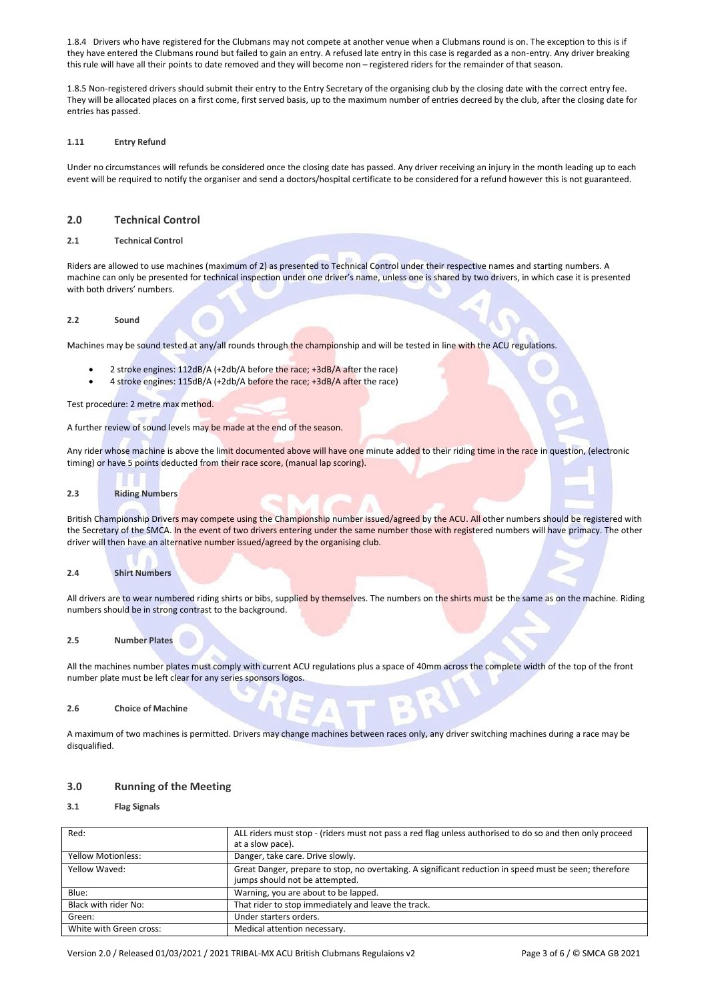1.8.4 Drivers who have registered for the Clubmans may not compete at another venue when a Clubmans round is on. The exception to this is if they have entered the Clubmans round but failed to gain an entry. A refused late entry in this case is regarded as a non-entry. Any driver breaking this rule will have all their points to date removed and they will become non – registered riders for the remainder of that season.

1.8.5 Non-registered drivers should submit their entry to the Entry Secretary of the organising club by the closing date with the correct entry fee. They will be allocated places on a first come, first served basis, up to the maximum number of entries decreed by the club, after the closing date for entries has passed.

#### <span id="page-2-0"></span>**1.11 Entry Refund**

Under no circumstances will refunds be considered once the closing date has passed. Any driver receiving an injury in the month leading up to each event will be required to notify the organiser and send a doctors/hospital certificate to be considered for a refund however this is not guaranteed.

## <span id="page-2-1"></span>**2.0 Technical Control**

## <span id="page-2-2"></span>**2.1 Technical Control**

Riders are allowed to use machines (maximum of 2) as presented to Technical Control under their respective names and starting numbers. A machine can only be presented for technical inspection under one driver's name, unless one is shared by two drivers, in which case it is presented with both drivers' numbers.

#### <span id="page-2-3"></span>**2.2 Sound**

Machines may be sound tested at any/all rounds through the championship and will be tested in line with the ACU regulations.

- 2 stroke engines: 112dB/A (+2db/A before the race; +3dB/A after the race)
- 4 stroke engines: 115dB/A (+2db/A before the race; +3dB/A after the race)

Test procedure: 2 metre max method.

A further review of sound levels may be made at the end of the season.

Any rider whose machine is above the limit documented above will have one minute added to their riding time in the race in question, (electronic timing) or have 5 points deducted from their race score, (manual lap scoring).

## <span id="page-2-4"></span>**2.3 Riding Numbers**

British Championship Drivers may compete using the Championship number issued/agreed by the ACU. All other numbers should be registered with the Secretary of the SMCA. In the event of two drivers entering under the same number those with registered numbers will have primacy. The other driver will then have an alternative number issued/agreed by the organising club.

## <span id="page-2-5"></span>**2.4 Shirt Numbers**

All drivers are to wear numbered riding shirts or bibs, supplied by themselves. The numbers on the shirts must be the same as on the machine. Riding numbers should be in strong contrast to the background.

## <span id="page-2-6"></span>**2.5 Number Plates**

All the machines number plates must comply with current ACU regulations plus a space of 40mm across the complete width of the top of the front number plate must be left clear for any series sponsors logos.

## <span id="page-2-7"></span>**2.6 Choice of Machine**

A maximum of two machines is permitted. Drivers may change machines between races only, any driver switching machines during a race may be disqualified.

## <span id="page-2-8"></span>**3.0 Running of the Meeting**

## <span id="page-2-9"></span>**3.1 Flag Signals**

| Red:                      | ALL riders must stop - (riders must not pass a red flag unless authorised to do so and then only proceed<br>at a slow pace).             |  |  |  |  |  |  |  |  |
|---------------------------|------------------------------------------------------------------------------------------------------------------------------------------|--|--|--|--|--|--|--|--|
| <b>Yellow Motionless:</b> | Danger, take care. Drive slowly.                                                                                                         |  |  |  |  |  |  |  |  |
| Yellow Waved:             | Great Danger, prepare to stop, no overtaking. A significant reduction in speed must be seen; therefore<br>jumps should not be attempted. |  |  |  |  |  |  |  |  |
| Blue:                     | Warning, you are about to be lapped.                                                                                                     |  |  |  |  |  |  |  |  |
| Black with rider No:      | That rider to stop immediately and leave the track.                                                                                      |  |  |  |  |  |  |  |  |
| Green:                    | Under starters orders.                                                                                                                   |  |  |  |  |  |  |  |  |
| White with Green cross:   | Medical attention necessary.                                                                                                             |  |  |  |  |  |  |  |  |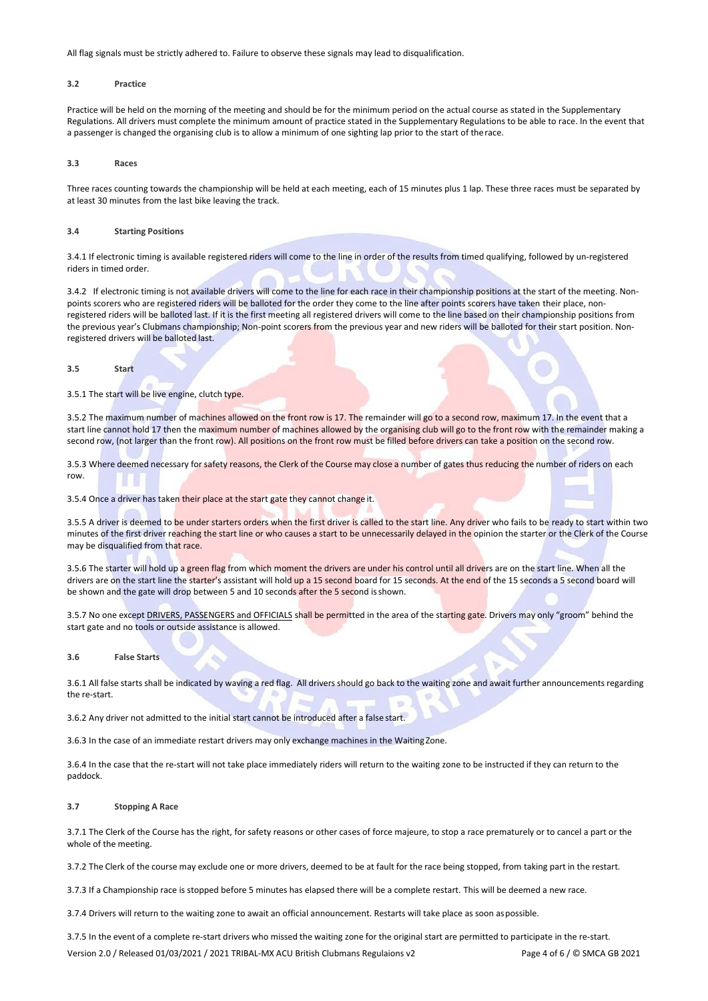All flag signals must be strictly adhered to. Failure to observe these signals may lead to disqualification.

## <span id="page-3-0"></span>**3.2 Practice**

Practice will be held on the morning of the meeting and should be for the minimum period on the actual course as stated in the Supplementary Regulations. All drivers must complete the minimum amount of practice stated in the Supplementary Regulations to be able to race. In the event that a passenger is changed the organising club is to allow a minimum of one sighting lap prior to the start of therace.

<span id="page-3-1"></span>**3.3 Races**

Three races counting towards the championship will be held at each meeting, each of 15 minutes plus 1 lap. These three races must be separated by at least 30 minutes from the last bike leaving the track.

#### <span id="page-3-2"></span>**3.4 Starting Positions**

3.4.1 If electronic timing is available registered riders will come to the line in order of the results from timed qualifying, followed by un-registered riders in timed order.

3.4.2 If electronic timing is not available drivers will come to the line for each race in their championship positions at the start of the meeting. Nonpoints scorers who are registered riders will be balloted for the order they come to the line after points scorers have taken their place, nonregistered riders will be balloted last. If it is the first meeting all registered drivers will come to the line based on their championship positions from the previous year's Clubmans championship; Non-point scorers from the previous year and new riders will be balloted for their start position. Nonregistered drivers will be balloted last.

#### <span id="page-3-3"></span>**3.5 Start**

## 3.5.1 The start will be live engine, clutch type.

3.5.2 The maximum number of machines allowed on the front row is 17. The remainder will go to a second row, maximum 17. In the event that a start line cannot hold 17 then the maximum number of machines allowed by the organising club will go to the front row with the remainder making a second row, (not larger than the front row). All positions on the front row must be filled before drivers can take a position on the second row.

3.5.3 Where deemed necessary for safety reasons, the Clerk of the Course may close a number of gates thus reducing the number of riders on each row.

## 3.5.4 Once a driver has taken their place at the start gate they cannot change it.

3.5.5 A driver is deemed to be under starters orders when the first driver is called to the start line. Any driver who fails to be ready to start within two minutes of the first driver reaching the start line or who causes a start to be unnecessarily delayed in the opinion the starter or the Clerk of the Course may be disqualified from that race.

3.5.6 The starter will hold up a green flag from which moment the drivers are under his control until all drivers are on the start line. When all the drivers are on the start line the starter's assistant will hold up a 15 second board for 15 seconds. At the end of the 15 seconds a 5 second board will be shown and the gate will drop between 5 and 10 seconds after the 5 second is shown.

3.5.7 No one except DRIVERS, PASSENGERS and OFFICIALS shall be permitted in the area of the starting gate. Drivers may only "groom" behind the start gate and no tools or outside assistance is allowed.

#### <span id="page-3-4"></span>**3.6 False Starts**

3.6.1 All false starts shall be indicated by waving a red flag. All drivers should go back to the waiting zone and await further announcements regarding the re-start.

3.6.2 Any driver not admitted to the initial start cannot be introduced after a false start.

3.6.3 In the case of an immediate restart drivers may only exchange machines in the WaitingZone.

3.6.4 In the case that the re-start will not take place immediately riders will return to the waiting zone to be instructed if they can return to the paddock.

#### <span id="page-3-5"></span>**3.7 Stopping A Race**

3.7.1 The Clerk of the Course has the right, for safety reasons or other cases of force majeure, to stop a race prematurely or to cancel a part or the whole of the meeting.

3.7.2 The Clerk of the course may exclude one or more drivers, deemed to be at fault for the race being stopped, from taking part in the restart.

3.7.3 If a Championship race is stopped before 5 minutes has elapsed there will be a complete restart. This will be deemed a new race.

3.7.4 Drivers will return to the waiting zone to await an official announcement. Restarts will take place as soon aspossible.

3.7.5 In the event of a complete re-start drivers who missed the waiting zone for the original start are permitted to participate in the re-start.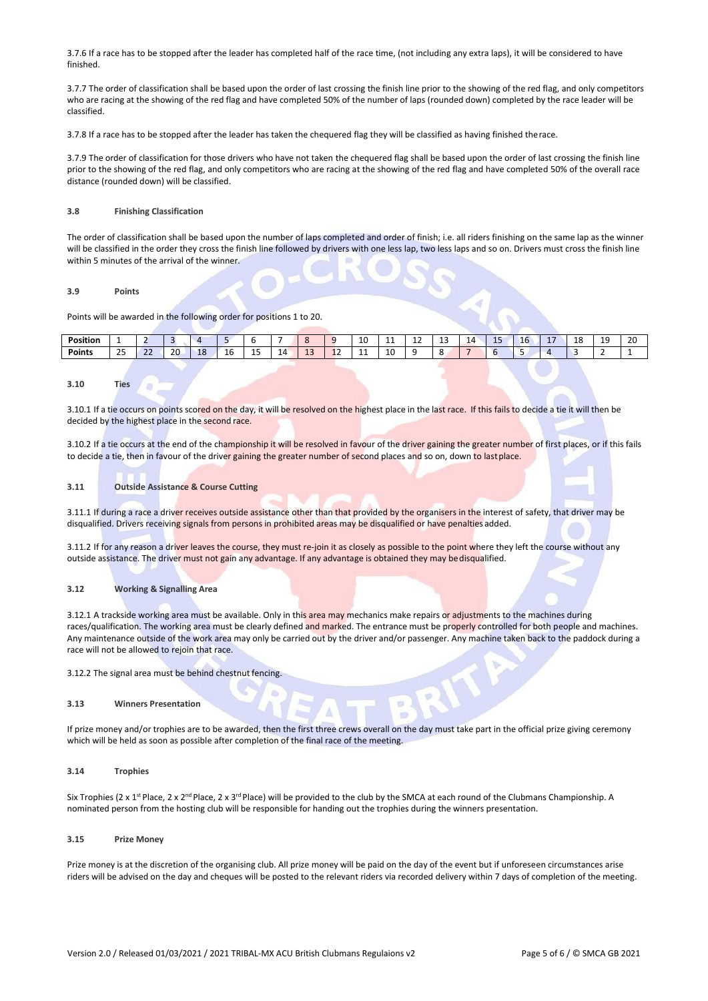3.7.6 If a race has to be stopped after the leader has completed half of the race time, (not including any extra laps), it will be considered to have finished.

3.7.7 The order of classification shall be based upon the order of last crossing the finish line prior to the showing of the red flag, and only competitors who are racing at the showing of the red flag and have completed 50% of the number of laps (rounded down) completed by the race leader will be classified.

3.7.8 If a race has to be stopped after the leader has taken the chequered flag they will be classified as having finished therace.

3.7.9 The order of classification for those drivers who have not taken the chequered flag shall be based upon the order of last crossing the finish line prior to the showing of the red flag, and only competitors who are racing at the showing of the red flag and have completed 50% of the overall race distance (rounded down) will be classified.

## <span id="page-4-0"></span>**3.8 Finishing Classification**

The order of classification shall be based upon the number of laps completed and order of finish; i.e. all riders finishing on the same lap as the winner will be classified in the order they cross the finish line followed by drivers with one less lap, two less laps and so on. Drivers must cross the finish line within 5 minutes of the arrival of the winner.

## <span id="page-4-1"></span>**3.9 Points**

Points will be awarded in the following order for positions 1 to 20.

| <b>Position</b> |                           |              |    |    |   |    |   |    |         | $\sim$<br>πu<br>__ | . . | <b></b> | --<br>__ | $\overline{a}$<br>- | -- | Τp | - -<br>- - | $\sim$<br>. .<br>. .<br>ᅩ<br>__ | --<br>$\sim$ | 20<br>__ |
|-----------------|---------------------------|--------------|----|----|---|----|---|----|---------|--------------------|-----|---------|----------|---------------------|----|----|------------|---------------------------------|--------------|----------|
| <b>Points</b>   | $\sim$ $\sim$<br><u>_</u> | $\sim$<br>__ | 20 | -- | ᅩ | -- | - | -- | <b></b> | . .                | ∸   |         |          |                     |    |    |            |                                 |              |          |

## <span id="page-4-2"></span>**3.10 Ties**

3.10.1 If a tie occurs on points scored on the day, it will be resolved on the highest place in the last race. If this fails to decide a tie it will then be decided by the highest place in the second race.

3.10.2 If a tie occurs at the end of the championship it will be resolved in favour of the driver gaining the greater number of first places, or if this fails to decide a tie, then in favour of the driver gaining the greater number of second places and so on, down to lastplace.

## <span id="page-4-3"></span>**3.11 Outside Assistance & Course Cutting**

3.11.1 If during a race a driver receives outside assistance other than that provided by the organisers in the interest of safety, that driver may be disqualified. Drivers receiving signals from persons in prohibited areas may be disqualified or have penalties added.

3.11.2 If for any reason a driver leaves the course, they must re-join it as closely as possible to the point where they left the course without any outside assistance. The driver must not gain any advantage. If any advantage is obtained they may be disqualified.

#### <span id="page-4-4"></span>**3.12 Working & Signalling Area**

3.12.1 A trackside working area must be available. Only in this area may mechanics make repairs or adjustments to the machines during races/qualification. The working area must be clearly defined and marked. The entrance must be properly controlled for both people and machines. Any maintenance outside of the work area may only be carried out by the driver and/or passenger. Any machine taken back to the paddock during a race will not be allowed to rejoin that race.

3.12.2 The signal area must be behind chestnut fencing.

#### <span id="page-4-5"></span>**3.13 Winners Presentation**

If prize money and/or trophies are to be awarded, then the first three crews overall on the day must take part in the official prize giving ceremony which will be held as soon as possible after completion of the final race of the meeting.

#### <span id="page-4-6"></span>**3.14 Trophies**

Six Trophies (2 x 1<sup>st</sup> Place, 2 x 2<sup>nd</sup> Place, 2 x 3<sup>rd</sup> Place) will be provided to the club by the SMCA at each round of the Clubmans Championship. A nominated person from the hosting club will be responsible for handing out the trophies during the winners presentation.

## <span id="page-4-7"></span>**3.15 Prize Money**

Prize money is at the discretion of the organising club. All prize money will be paid on the day of the event but if unforeseen circumstances arise riders will be advised on the day and cheques will be posted to the relevant riders via recorded delivery within 7 days of completion of the meeting.